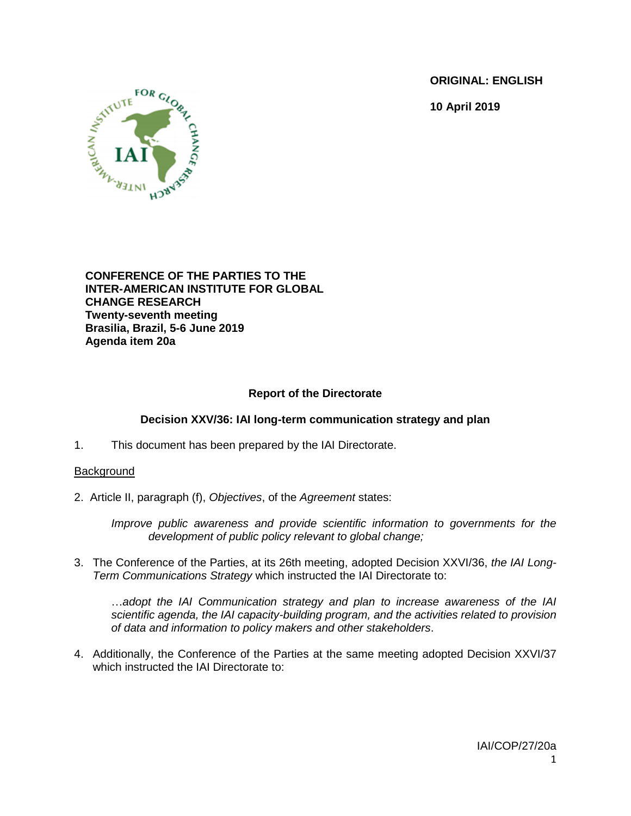**ORIGINAL: ENGLISH**

**10 April 2019**



**CONFERENCE OF THE PARTIES TO THE INTER-AMERICAN INSTITUTE FOR GLOBAL CHANGE RESEARCH Twenty-seventh meeting Brasilia, Brazil, 5-6 June 2019 Agenda item 20a**

# **Report of the Directorate**

## **Decision XXV/36: IAI long-term communication strategy and plan**

1. This document has been prepared by the IAI Directorate.

### **Background**

2. Article II, paragraph (f), *Objectives*, of the *Agreement* states:

*Improve public awareness and provide scientific information to governments for the development of public policy relevant to global change;* 

3. The Conference of the Parties, at its 26th meeting, adopted Decision XXVI/36, *the IAI Long-Term Communications Strategy* which instructed the IAI Directorate to:

…*adopt the IAI Communication strategy and plan to increase awareness of the IAI scientific agenda, the IAI capacity-building program, and the activities related to provision of data and information to policy makers and other stakeholders*.

4. Additionally, the Conference of the Parties at the same meeting adopted Decision XXVI/37 which instructed the IAI Directorate to: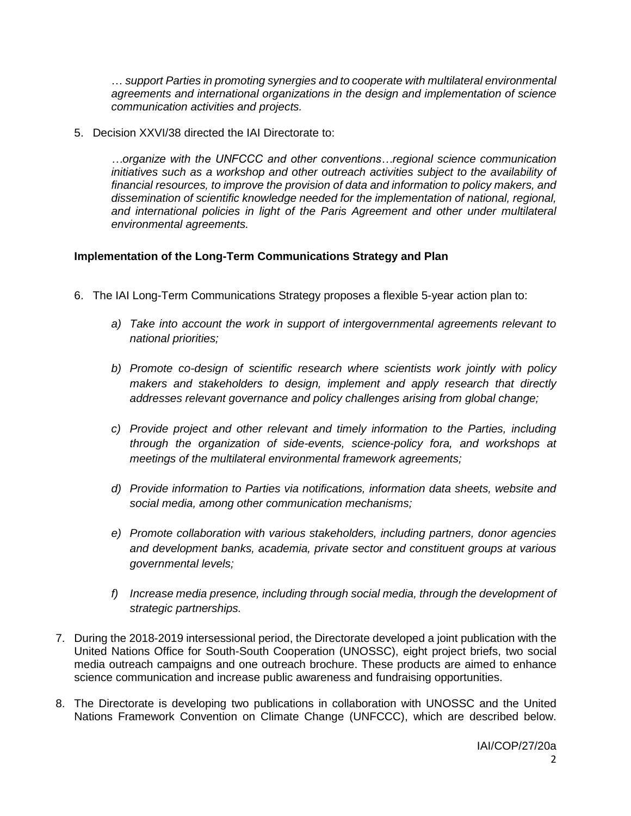… *support Parties in promoting synergies and to cooperate with multilateral environmental agreements and international organizations in the design and implementation of science communication activities and projects.*

5. Decision XXVI/38 directed the IAI Directorate to:

*…organize with the UNFCCC and other conventions…regional science communication initiatives such as a workshop and other outreach activities subject to the availability of financial resources, to improve the provision of data and information to policy makers, and dissemination of scientific knowledge needed for the implementation of national, regional, and international policies in light of the Paris Agreement and other under multilateral environmental agreements.* 

#### **Implementation of the Long-Term Communications Strategy and Plan**

- 6. The IAI Long-Term Communications Strategy proposes a flexible 5-year action plan to:
	- *a) Take into account the work in support of intergovernmental agreements relevant to national priorities;*
	- *b) Promote co-design of scientific research where scientists work jointly with policy makers and stakeholders to design, implement and apply research that directly addresses relevant governance and policy challenges arising from global change;*
	- *c) Provide project and other relevant and timely information to the Parties, including through the organization of side-events, science-policy fora, and workshops at meetings of the multilateral environmental framework agreements;*
	- *d) Provide information to Parties via notifications, information data sheets, website and social media, among other communication mechanisms;*
	- *e) Promote collaboration with various stakeholders, including partners, donor agencies and development banks, academia, private sector and constituent groups at various governmental levels;*
	- *f) Increase media presence, including through social media, through the development of strategic partnerships.*
- 7. During the 2018-2019 intersessional period, the Directorate developed a joint publication with the United Nations Office for South-South Cooperation (UNOSSC), eight project briefs, two social media outreach campaigns and one outreach brochure. These products are aimed to enhance science communication and increase public awareness and fundraising opportunities.
- 8. The Directorate is developing two publications in collaboration with UNOSSC and the United Nations Framework Convention on Climate Change (UNFCCC), which are described below.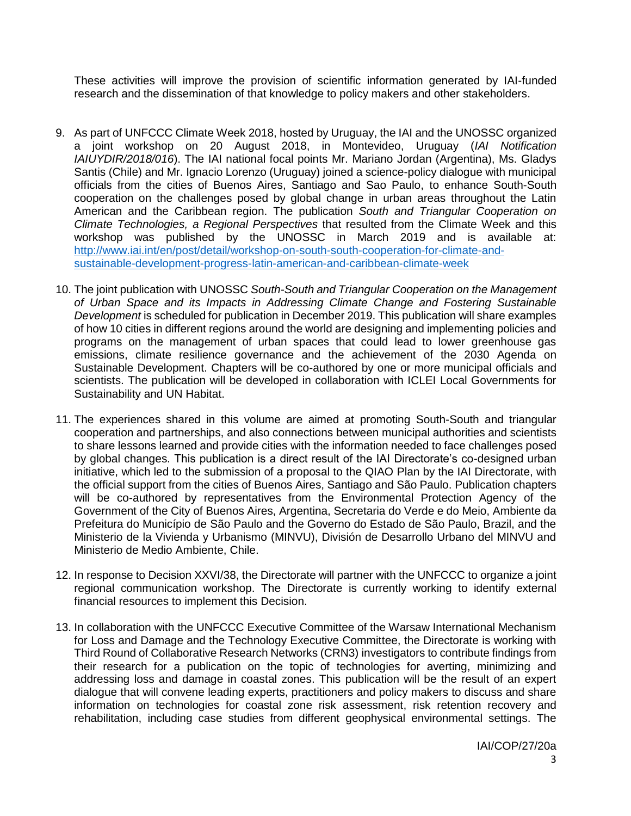These activities will improve the provision of scientific information generated by IAI-funded research and the dissemination of that knowledge to policy makers and other stakeholders.

- 9. As part of UNFCCC Climate Week 2018, hosted by Uruguay, the IAI and the UNOSSC organized a joint workshop on 20 August 2018, in Montevideo, Uruguay (*IAI Notification IAIUYDIR/2018/016*). The IAI national focal points Mr. Mariano Jordan (Argentina), Ms. Gladys Santis (Chile) and Mr. Ignacio Lorenzo (Uruguay) joined a science-policy dialogue with municipal officials from the cities of Buenos Aires, Santiago and Sao Paulo, to enhance South-South cooperation on the challenges posed by global change in urban areas throughout the Latin American and the Caribbean region. The publication *South and Triangular Cooperation on Climate Technologies, a Regional Perspectives* that resulted from the Climate Week and this workshop was published by the UNOSSC in March 2019 and is available at: [http://www.iai.int/en/post/detail/workshop-on-south-south-cooperation-for-climate-and](http://www.iai.int/en/post/detail/workshop-on-south-south-cooperation-for-climate-and-sustainable-development-progress-latin-american-and-caribbean-climate-week)[sustainable-development-progress-latin-american-and-caribbean-climate-week](http://www.iai.int/en/post/detail/workshop-on-south-south-cooperation-for-climate-and-sustainable-development-progress-latin-american-and-caribbean-climate-week)
- 10. The joint publication with UNOSSC *South-South and Triangular Cooperation on the Management of Urban Space and its Impacts in Addressing Climate Change and Fostering Sustainable Development* is scheduled for publication in December 2019. This publication will share examples of how 10 cities in different regions around the world are designing and implementing policies and programs on the management of urban spaces that could lead to lower greenhouse gas emissions, climate resilience governance and the achievement of the 2030 Agenda on Sustainable Development. Chapters will be co-authored by one or more municipal officials and scientists. The publication will be developed in collaboration with ICLEI Local Governments for Sustainability and UN Habitat.
- 11. The experiences shared in this volume are aimed at promoting South-South and triangular cooperation and partnerships, and also connections between municipal authorities and scientists to share lessons learned and provide cities with the information needed to face challenges posed by global changes. This publication is a direct result of the IAI Directorate's co-designed urban initiative, which led to the submission of a proposal to the QIAO Plan by the IAI Directorate, with the official support from the cities of Buenos Aires, Santiago and São Paulo. Publication chapters will be co-authored by representatives from the Environmental Protection Agency of the Government of the City of Buenos Aires, Argentina, Secretaria do Verde e do Meio, Ambiente da Prefeitura do Município de São Paulo and the Governo do Estado de São Paulo, Brazil, and the Ministerio de la Vivienda y Urbanismo (MINVU), División de Desarrollo Urbano del MINVU and Ministerio de Medio Ambiente, Chile.
- 12. In response to Decision XXVI/38, the Directorate will partner with the UNFCCC to organize a joint regional communication workshop. The Directorate is currently working to identify external financial resources to implement this Decision.
- 13. In collaboration with the UNFCCC Executive Committee of the Warsaw International Mechanism for Loss and Damage and the Technology Executive Committee, the Directorate is working with Third Round of Collaborative Research Networks (CRN3) investigators to contribute findings from their research for a publication on the topic of technologies for averting, minimizing and addressing loss and damage in coastal zones. This publication will be the result of an expert dialogue that will convene leading experts, practitioners and policy makers to discuss and share information on technologies for coastal zone risk assessment, risk retention recovery and rehabilitation, including case studies from different geophysical environmental settings. The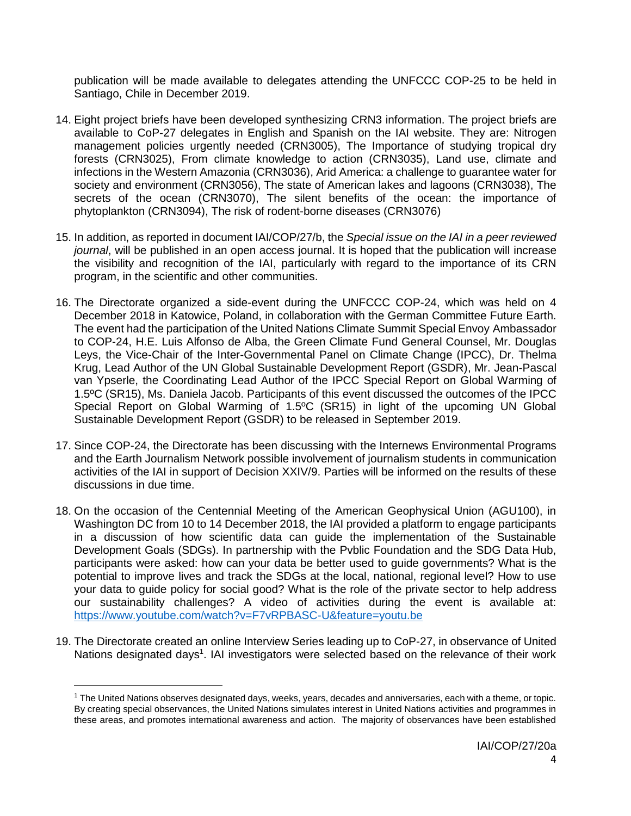publication will be made available to delegates attending the UNFCCC COP-25 to be held in Santiago, Chile in December 2019.

- 14. Eight project briefs have been developed synthesizing CRN3 information. The project briefs are available to CoP-27 delegates in English and Spanish on the IAI website. They are: Nitrogen management policies urgently needed (CRN3005), The Importance of studying tropical dry forests (CRN3025), From climate knowledge to action (CRN3035), Land use, climate and infections in the Western Amazonia (CRN3036), Arid America: a challenge to guarantee water for society and environment (CRN3056), The state of American lakes and lagoons (CRN3038), The secrets of the ocean (CRN3070), The silent benefits of the ocean: the importance of phytoplankton (CRN3094), The risk of rodent-borne diseases (CRN3076)
- 15. In addition, as reported in document IAI/COP/27/b, the *Special issue on the IAI in a peer reviewed journal*, will be published in an open access journal. It is hoped that the publication will increase the visibility and recognition of the IAI, particularly with regard to the importance of its CRN program, in the scientific and other communities.
- 16. The Directorate organized a side-event during the UNFCCC COP-24, which was held on 4 December 2018 in Katowice, Poland, in collaboration with the German Committee Future Earth. The event had the participation of the United Nations Climate Summit Special Envoy Ambassador to COP-24, H.E. Luis Alfonso de Alba, the Green Climate Fund General Counsel, Mr. Douglas Leys, the Vice-Chair of the Inter-Governmental Panel on Climate Change (IPCC), Dr. Thelma Krug, Lead Author of the UN Global Sustainable Development Report (GSDR), Mr. Jean-Pascal van Ypserle, the Coordinating Lead Author of the IPCC Special Report on Global Warming of 1.5ºC (SR15), Ms. Daniela Jacob. Participants of this event discussed the outcomes of the IPCC Special Report on Global Warming of 1.5ºC (SR15) in light of the upcoming UN Global Sustainable Development Report (GSDR) to be released in September 2019.
- 17. Since COP-24, the Directorate has been discussing with the Internews Environmental Programs and the Earth Journalism Network possible involvement of journalism students in communication activities of the IAI in support of Decision XXIV/9. Parties will be informed on the results of these discussions in due time.
- 18. On the occasion of the Centennial Meeting of the American Geophysical Union (AGU100), in Washington DC from 10 to 14 December 2018, the IAI provided a platform to engage participants in a discussion of how scientific data can guide the implementation of the Sustainable Development Goals (SDGs). In partnership with the Pvblic Foundation and the SDG Data Hub, participants were asked: how can your data be better used to guide governments? What is the potential to improve lives and track the SDGs at the local, national, regional level? How to use your data to guide policy for social good? What is the role of the private sector to help address our sustainability challenges? A video of activities during the event is available at: <https://www.youtube.com/watch?v=F7vRPBASC-U&feature=youtu.be>
- 19. The Directorate created an online Interview Series leading up to CoP-27, in observance of United Nations designated days<sup>1</sup>. IAI investigators were selected based on the relevance of their work

 $\overline{\phantom{a}}$ 

 $1$  The United Nations observes designated days, weeks, years, decades and anniversaries, each with a theme, or topic. By creating special observances, the United Nations simulates interest in United Nations activities and programmes in these areas, and promotes international awareness and action. The majority of observances have been established